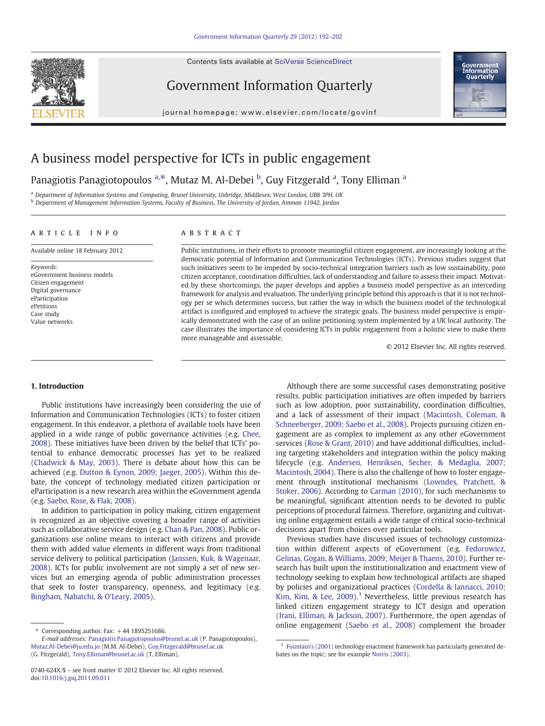Contents lists available at SciVerse ScienceDirect



Government Information Quarterly



journal homepage: www.elsevier.com/locate/govinf

## A business model perspective for ICTs in public engagement

Panagiotis Panagiotopoulos <sup>a,\*</sup>, Mutaz M. Al-Debei <sup>b</sup>, Guy Fitzgerald <sup>a</sup>, Tony Elliman <sup>a</sup>

<sup>a</sup> Department of Information Systems and Computing, Brunel University, Uxbridge, Middlesex, West London, UB8 3PH, UK

**b Department of Management Information Systems, Faculty of Business, The University of Jordan, Amman 11942, Jordan** 

#### article info abstract

Available online 18 February 2012

Keywords: eGovernment business models Citizen engagement Digital governance eParticipation ePetitions Case study Value networks

Public institutions, in their efforts to promote meaningful citizen engagement, are increasingly looking at the democratic potential of Information and Communication Technologies (ICTs). Previous studies suggest that such initiatives seem to be impeded by socio-technical integration barriers such as low sustainability, poor citizen acceptance, coordination difficulties, lack of understanding and failure to assess their impact. Motivated by these shortcomings, the paper develops and applies a business model perspective as an interceding framework for analysis and evaluation. The underlying principle behind this approach is that it is not technology per se which determines success, but rather the way in which the business model of the technological artifact is configured and employed to achieve the strategic goals. The business model perspective is empirically demonstrated with the case of an online petitioning system implemented by a UK local authority. The case illustrates the importance of considering ICTs in public engagement from a holistic view to make them more manageable and assessable.

© 2012 Elsevier Inc. All rights reserved.

#### 1. Introduction

Public institutions have increasingly been considering the use of Information and Communication Technologies (ICTs) to foster citizen engagement. In this endeavor, a plethora of available tools have been applied in a wide range of public governance activities (e.g. [Chee,](#page--1-0) [2008\)](#page--1-0). These initiatives have been driven by the belief that ICTs' potential to enhance democratic processes has yet to be realized [\(Chadwick & May, 2003\)](#page--1-0). There is debate about how this can be achieved (e.g. [Dutton & Eynon, 2009; Jaeger, 2005](#page--1-0)). Within this debate, the concept of technology mediated citizen participation or eParticipation is a new research area within the eGovernment agenda (e.g. [Saebo, Rose, & Flak, 2008\)](#page--1-0).

In addition to participation in policy making, citizen engagement is recognized as an objective covering a broader range of activities such as collaborative service design (e.g. [Chan & Pan, 2008\)](#page--1-0). Public organizations use online means to interact with citizens and provide them with added value elements in different ways from traditional service delivery to political participation ([Janssen, Kuk, & Wagenaar,](#page--1-0) [2008\)](#page--1-0). ICTs for public involvement are not simply a set of new services but an emerging agenda of public administration processes that seek to foster transparency, openness, and legitimacy (e.g. [Bingham, Nabatchi, & O'Leary, 2005](#page--1-0)).

Although there are some successful cases demonstrating positive results, public participation initiatives are often impeded by barriers such as low adoption, poor sustainability, coordination difficulties, and a lack of assessment of their impact [\(Macintosh, Coleman, &](#page--1-0) [Schneeberger, 2009; Saebo et al., 2008](#page--1-0)). Projects pursuing citizen engagement are as complex to implement as any other eGovernment services [\(Rose & Grant, 2010](#page--1-0)) and have additional difficulties, including targeting stakeholders and integration within the policy making lifecycle (e.g. [Andersen, Henriksen, Secher, & Medaglia, 2007;](#page--1-0) [Macintosh, 2004\)](#page--1-0). There is also the challenge of how to foster engagement through institutional mechanisms ([Lowndes, Pratchett, &](#page--1-0) [Stoker, 2006\)](#page--1-0). According to [Carman \(2010\),](#page--1-0) for such mechanisms to be meaningful, significant attention needs to be devoted to public perceptions of procedural fairness. Therefore, organizing and cultivating online engagement entails a wide range of critical socio-technical decisions apart from choices over particular tools.

Previous studies have discussed issues of technology customization within different aspects of eGovernment (e.g. [Fedorowicz,](#page--1-0) [Gelinas, Gogan, & Williams, 2009; Meijer & Thaens, 2010\)](#page--1-0). Further research has built upon the institutionalization and enactment view of technology seeking to explain how technological artifacts are shaped by policies and organizational practices [\(Cordella & Iannacci, 2010;](#page--1-0) [Kim, Kim, & Lee, 2009](#page--1-0)).<sup>1</sup> Nevertheless, little previous research has linked citizen engagement strategy to ICT design and operation [\(Irani, Elliman, & Jackson, 2007](#page--1-0)). Furthermore, the open agendas of online engagement [\(Saebo et al., 2008\)](#page--1-0) complement the broader

 $*$  Corresponding author. Fax:  $+44$  1895251686.

E-mail addresses: [Panagiotis.Panagiotopoulos@brunel.ac.uk](mailto:Panagiotis.Panagiotopoulos@brunel.ac.uk) (P. Panagiotopoulos), [Mutaz.Al-Debei@ju.edu.jo](mailto:Mutaz.Al-Debei@ju.edu.jo) (M.M. Al-Debei), [Guy.Fitzgerald@brunel.ac.uk](mailto:Guy.Fitzgerald@brunel.ac.uk) (G. Fitzgerald), [Tony.Elliman@brunel.ac.uk](mailto:Tony.Elliman@brunel.ac.uk) (T. Elliman).

<sup>0740-624</sup>X/\$ – see front matter © 2012 Elsevier Inc. All rights reserved. doi[:10.1016/j.giq.2011.09.011](http://dx.doi.org/10.1016/j.giq.2011.09.011)

 $1$  [Fountain's \(2001\)](#page--1-0) technology enactment framework has particularly generated debates on the topic; see for example [Norris \(2003\)](#page--1-0).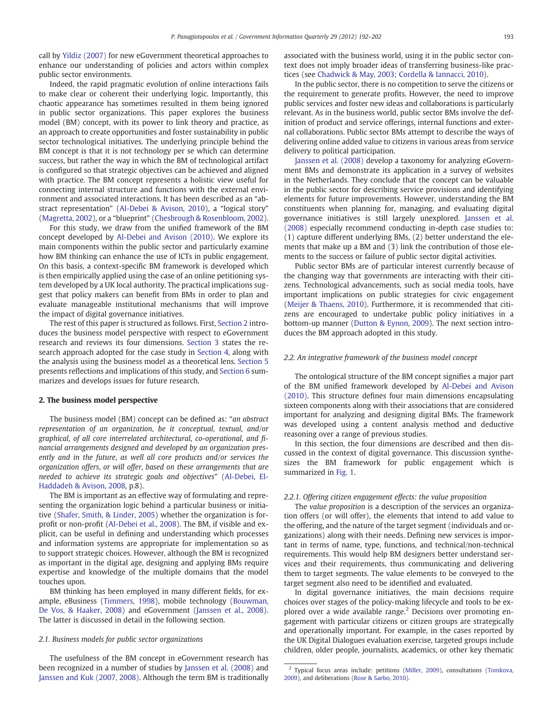call by [Yildiz \(2007\)](#page--1-0) for new eGovernment theoretical approaches to enhance our understanding of policies and actors within complex public sector environments.

Indeed, the rapid pragmatic evolution of online interactions fails to make clear or coherent their underlying logic. Importantly, this chaotic appearance has sometimes resulted in them being ignored in public sector organizations. This paper explores the business model (BM) concept, with its power to link theory and practice, as an approach to create opportunities and foster sustainability in public sector technological initiatives. The underlying principle behind the BM concept is that it is not technology per se which can determine success, but rather the way in which the BM of technological artifact is configured so that strategic objectives can be achieved and aligned with practice. The BM concept represents a holistic view useful for connecting internal structure and functions with the external environment and associated interactions. It has been described as an "abstract representation" ([Al-Debei & Avison, 2010\)](#page--1-0), a "logical story" [\(Magretta, 2002\)](#page--1-0), or a "blueprint" [\(Chesbrough & Rosenbloom, 2002](#page--1-0)).

For this study, we draw from the unified framework of the BM concept developed by [Al-Debei and Avison \(2010\).](#page--1-0) We explore its main components within the public sector and particularly examine how BM thinking can enhance the use of ICTs in public engagement. On this basis, a context-specific BM framework is developed which is then empirically applied using the case of an online petitioning system developed by a UK local authority. The practical implications suggest that policy makers can benefit from BMs in order to plan and evaluate manageable institutional mechanisms that will improve the impact of digital governance initiatives.

The rest of this paper is structured as follows. First, Section 2 introduces the business model perspective with respect to eGovernment research and reviews its four dimensions. [Section 3](#page--1-0) states the research approach adopted for the case study in [Section 4,](#page--1-0) along with the analysis using the business model as a theoretical lens. [Section 5](#page--1-0) presents reflections and implications of this study, and [Section 6](#page--1-0) summarizes and develops issues for future research.

### 2. The business model perspective

The business model (BM) concept can be defined as: "an abstract representation of an organization, be it conceptual, textual, and/or graphical, of all core interrelated architectural, co-operational, and financial arrangements designed and developed by an organization presently and in the future, as well all core products and/or services the organization offers, or will offer, based on these arrangements that are needed to achieve its strategic goals and objectives" ([Al-Debei, El-](#page--1-0)[Haddadeh & Avison, 2008,](#page--1-0) p.8).

The BM is important as an effective way of formulating and representing the organization logic behind a particular business or initiative [\(Shafer, Smith, & Linder, 2005](#page--1-0)) whether the organization is forprofit or non-profit ([Al-Debei et al., 2008\)](#page--1-0). The BM, if visible and explicit, can be useful in defining and understanding which processes and information systems are appropriate for implementation so as to support strategic choices. However, although the BM is recognized as important in the digital age, designing and applying BMs require expertise and knowledge of the multiple domains that the model touches upon.

BM thinking has been employed in many different fields, for example, eBusiness [\(Timmers, 1998](#page--1-0)), mobile technology ([Bouwman,](#page--1-0) [De Vos, & Haaker, 2008](#page--1-0)) and eGovernment ([Janssen et al., 2008](#page--1-0)). The latter is discussed in detail in the following section.

#### 2.1. Business models for public sector organizations

The usefulness of the BM concept in eGovernment research has been recognized in a number of studies by [Janssen et al. \(2008\)](#page--1-0) and [Janssen and Kuk \(2007, 2008\)](#page--1-0). Although the term BM is traditionally associated with the business world, using it in the public sector context does not imply broader ideas of transferring business-like practices (see [Chadwick & May, 2003; Cordella & Iannacci, 2010\)](#page--1-0).

In the public sector, there is no competition to serve the citizens or the requirement to generate profits. However, the need to improve public services and foster new ideas and collaborations is particularly relevant. As in the business world, public sector BMs involve the definition of product and service offerings, internal functions and external collaborations. Public sector BMs attempt to describe the ways of delivering online added value to citizens in various areas from service delivery to political participation.

[Janssen et al. \(2008\)](#page--1-0) develop a taxonomy for analyzing eGovernment BMs and demonstrate its application in a survey of websites in the Netherlands. They conclude that the concept can be valuable in the public sector for describing service provisions and identifying elements for future improvements. However, understanding the BM constituents when planning for, managing, and evaluating digital governance initiatives is still largely unexplored. [Janssen et al.](#page--1-0) [\(2008\)](#page--1-0) especially recommend conducting in-depth case studies to: (1) capture different underlying BMs, (2) better understand the elements that make up a BM and (3) link the contribution of those elements to the success or failure of public sector digital activities.

Public sector BMs are of particular interest currently because of the changing way that governments are interacting with their citizens. Technological advancements, such as social media tools, have important implications on public strategies for civic engagement [\(Meijer & Thaens, 2010\)](#page--1-0). Furthermore, it is recommended that citizens are encouraged to undertake public policy initiatives in a bottom-up manner [\(Dutton & Eynon, 2009](#page--1-0)). The next section introduces the BM approach adopted in this study.

#### 2.2. An integrative framework of the business model concept

The ontological structure of the BM concept signifies a major part of the BM unified framework developed by [Al-Debei and Avison](#page--1-0) [\(2010\).](#page--1-0) This structure defines four main dimensions encapsulating sixteen components along with their associations that are considered important for analyzing and designing digital BMs. The framework was developed using a content analysis method and deductive reasoning over a range of previous studies.

In this section, the four dimensions are described and then discussed in the context of digital governance. This discussion synthesizes the BM framework for public engagement which is summarized in [Fig. 1.](#page--1-0)

#### 2.2.1. Offering citizen engagement effects: the value proposition

The value proposition is a description of the services an organization offers (or will offer), the elements that intend to add value to the offering, and the nature of the target segment (individuals and organizations) along with their needs. Defining new services is important in terms of name, type, functions, and technical/non-technical requirements. This would help BM designers better understand services and their requirements, thus communicating and delivering them to target segments. The value elements to be conveyed to the target segment also need to be identified and evaluated.

In digital governance initiatives, the main decisions require choices over stages of the policy-making lifecycle and tools to be explored over a wide available range. $<sup>2</sup>$  Decisions over promoting en-</sup> gagement with particular citizens or citizen groups are strategically and operationally important. For example, in the cases reported by the UK Digital Dialogues evaluation exercise, targeted groups include children, older people, journalists, academics, or other key thematic

<sup>&</sup>lt;sup>2</sup> Typical focus areas include: petitions [\(Miller, 2009](#page--1-0)), consultations [\(Tomkova,](#page--1-0) [2009](#page--1-0)), and deliberations ([Rose & Saebo, 2010\)](#page--1-0).